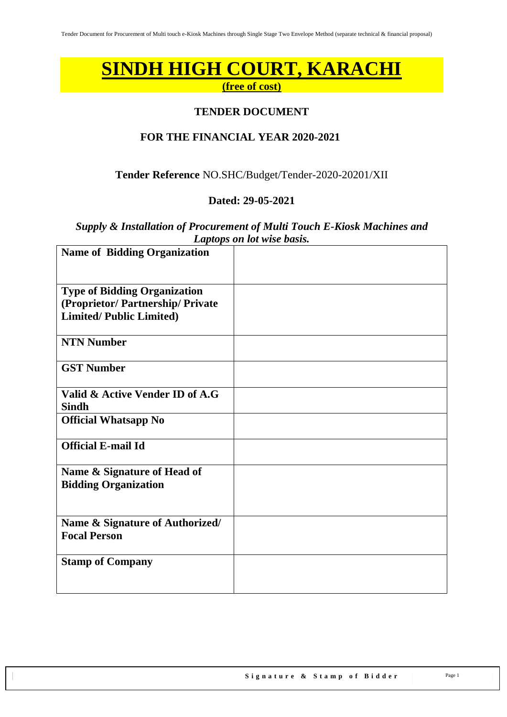# **SINDH HIGH COURT, KARACHI**

**(free of cost)**

### **TENDER DOCUMENT**

### **FOR THE FINANCIAL YEAR 2020-2021**

### **Tender Reference** NO.SHC/Budget/Tender-2020-20201/XII

### **Dated: 29-05-2021**

*Supply & Installation of Procurement of Multi Touch E-Kiosk Machines and Laptops on lot wise basis.*

| <b>Name of Bidding Organization</b> |  |
|-------------------------------------|--|
|                                     |  |
| <b>Type of Bidding Organization</b> |  |
| (Proprietor/Partnership/Private     |  |
| <b>Limited/Public Limited)</b>      |  |
| <b>NTN Number</b>                   |  |
| <b>GST Number</b>                   |  |
| Valid & Active Vender ID of A.G     |  |
| <b>Sindh</b>                        |  |
| <b>Official Whatsapp No</b>         |  |
|                                     |  |
| <b>Official E-mail Id</b>           |  |
| Name & Signature of Head of         |  |
| <b>Bidding Organization</b>         |  |
|                                     |  |
|                                     |  |
| Name & Signature of Authorized/     |  |
| <b>Focal Person</b>                 |  |
|                                     |  |
| <b>Stamp of Company</b>             |  |
|                                     |  |
|                                     |  |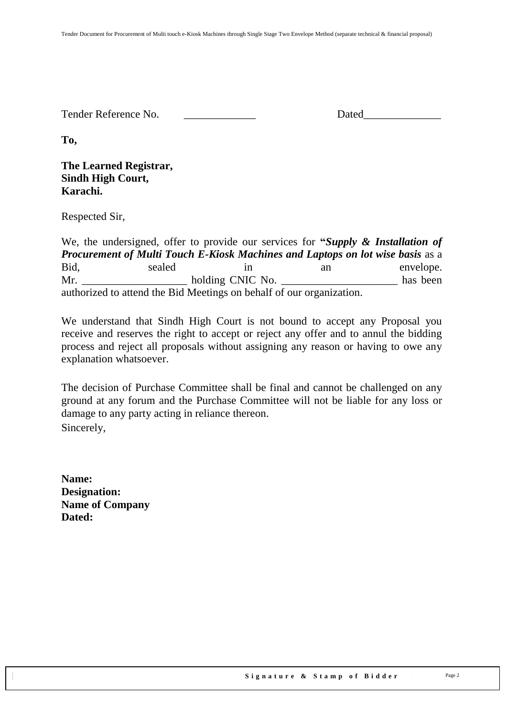Tender Reference No. **Dated** 

**To,** 

### **The Learned Registrar, Sindh High Court, Karachi.**

Respected Sir,

We, the undersigned, offer to provide our services for **"***Supply & Installation of Procurement of Multi Touch E-Kiosk Machines and Laptops on lot wise basis* as a Bid, sealed in an envelope. Mr. \_\_\_\_\_\_\_\_\_\_\_\_\_\_\_\_\_\_\_ holding CNIC No. \_\_\_\_\_\_\_\_\_\_\_\_\_\_\_\_\_\_\_\_\_ has been authorized to attend the Bid Meetings on behalf of our organization.

We understand that Sindh High Court is not bound to accept any Proposal you receive and reserves the right to accept or reject any offer and to annul the bidding process and reject all proposals without assigning any reason or having to owe any explanation whatsoever.

The decision of Purchase Committee shall be final and cannot be challenged on any ground at any forum and the Purchase Committee will not be liable for any loss or damage to any party acting in reliance thereon. Sincerely,

**Name: Designation: Name of Company Dated:**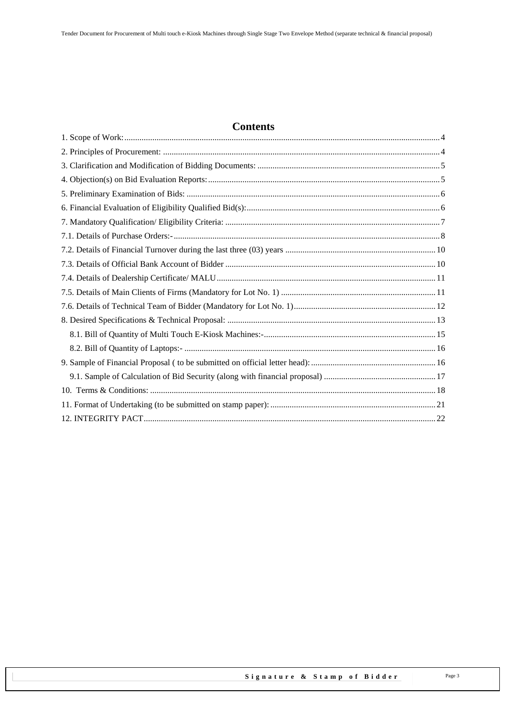# **Contents**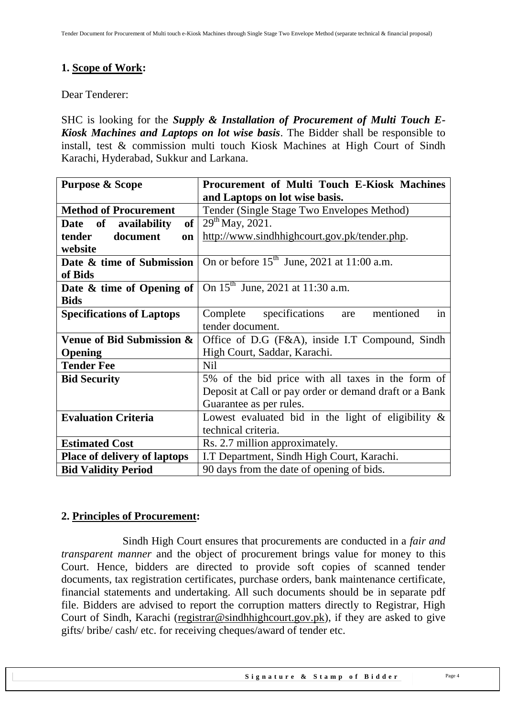# <span id="page-3-0"></span>**1. Scope of Work:**

Dear Tenderer:

SHC is looking for the *Supply & Installation of Procurement of Multi Touch E-Kiosk Machines and Laptops on lot wise basis*. The Bidder shall be responsible to install, test & commission multi touch Kiosk Machines at High Court of Sindh Karachi, Hyderabad, Sukkur and Larkana.

| <b>Purpose &amp; Scope</b>                 | Procurement of Multi Touch E-Kiosk Machines            |  |
|--------------------------------------------|--------------------------------------------------------|--|
|                                            | and Laptops on lot wise basis.                         |  |
| <b>Method of Procurement</b>               | Tender (Single Stage Two Envelopes Method)             |  |
| of <sub>l</sub><br>availability<br>Date of | $29th$ May, 2021.                                      |  |
| tender<br>document<br>on                   | http://www.sindhhighcourt.gov.pk/tender.php.           |  |
| website                                    |                                                        |  |
| Date & time of Submission                  | On or before $15th$ June, 2021 at 11:00 a.m.           |  |
| of Bids                                    |                                                        |  |
| Date $\&$ time of Opening of $\vert$       | On 15 <sup>th</sup> June, 2021 at 11:30 a.m.           |  |
| <b>Bids</b>                                |                                                        |  |
| <b>Specifications of Laptops</b>           | in<br>Complete<br>specifications<br>mentioned<br>are   |  |
|                                            | tender document.                                       |  |
| Venue of Bid Submission &                  | Office of D.G (F&A), inside I.T Compound, Sindh        |  |
| Opening                                    | High Court, Saddar, Karachi.                           |  |
| <b>Tender Fee</b>                          | <b>Nil</b>                                             |  |
| <b>Bid Security</b>                        | 5% of the bid price with all taxes in the form of      |  |
|                                            | Deposit at Call or pay order or demand draft or a Bank |  |
|                                            | Guarantee as per rules.                                |  |
| <b>Evaluation Criteria</b>                 | Lowest evaluated bid in the light of eligibility $\&$  |  |
|                                            | technical criteria.                                    |  |
| <b>Estimated Cost</b>                      | Rs. 2.7 million approximately.                         |  |
| <b>Place of delivery of laptops</b>        | I.T Department, Sindh High Court, Karachi.             |  |
| <b>Bid Validity Period</b>                 | 90 days from the date of opening of bids.              |  |

### <span id="page-3-1"></span>**2. Principles of Procurement:**

Sindh High Court ensures that procurements are conducted in a *fair and transparent manner* and the object of procurement brings value for money to this Court. Hence, bidders are directed to provide soft copies of scanned tender documents, tax registration certificates, purchase orders, bank maintenance certificate, financial statements and undertaking. All such documents should be in separate pdf file. Bidders are advised to report the corruption matters directly to Registrar, High Court of Sindh, Karachi [\(registrar@sindhhighcourt.gov.pk\)](mailto:registrar@sindhhighcourt.gov.pk), if they are asked to give gifts/ bribe/ cash/ etc. for receiving cheques/award of tender etc.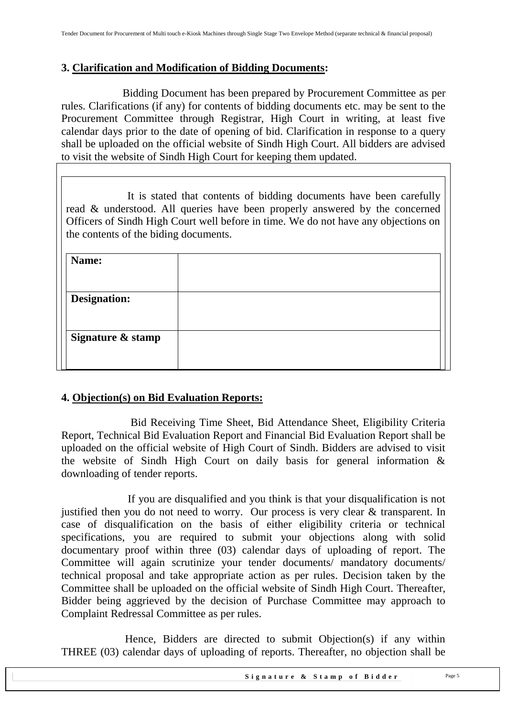### <span id="page-4-0"></span>**3. Clarification and Modification of Bidding Documents:**

Bidding Document has been prepared by Procurement Committee as per rules. Clarifications (if any) for contents of bidding documents etc. may be sent to the Procurement Committee through Registrar, High Court in writing, at least five calendar days prior to the date of opening of bid. Clarification in response to a query shall be uploaded on the official website of Sindh High Court. All bidders are advised to visit the website of Sindh High Court for keeping them updated.

It is stated that contents of bidding documents have been carefully read & understood. All queries have been properly answered by the concerned Officers of Sindh High Court well before in time. We do not have any objections on the contents of the biding documents.

| Name:               |  |
|---------------------|--|
| <b>Designation:</b> |  |
| Signature & stamp   |  |
|                     |  |

### <span id="page-4-1"></span>**4. Objection(s) on Bid Evaluation Reports:**

 Bid Receiving Time Sheet, Bid Attendance Sheet, Eligibility Criteria Report, Technical Bid Evaluation Report and Financial Bid Evaluation Report shall be uploaded on the official website of High Court of Sindh. Bidders are advised to visit the website of Sindh High Court on daily basis for general information & downloading of tender reports.

 If you are disqualified and you think is that your disqualification is not justified then you do not need to worry. Our process is very clear & transparent. In case of disqualification on the basis of either eligibility criteria or technical specifications, you are required to submit your objections along with solid documentary proof within three (03) calendar days of uploading of report. The Committee will again scrutinize your tender documents/ mandatory documents/ technical proposal and take appropriate action as per rules. Decision taken by the Committee shall be uploaded on the official website of Sindh High Court. Thereafter, Bidder being aggrieved by the decision of Purchase Committee may approach to Complaint Redressal Committee as per rules.

 Hence, Bidders are directed to submit Objection(s) if any within THREE (03) calendar days of uploading of reports. Thereafter, no objection shall be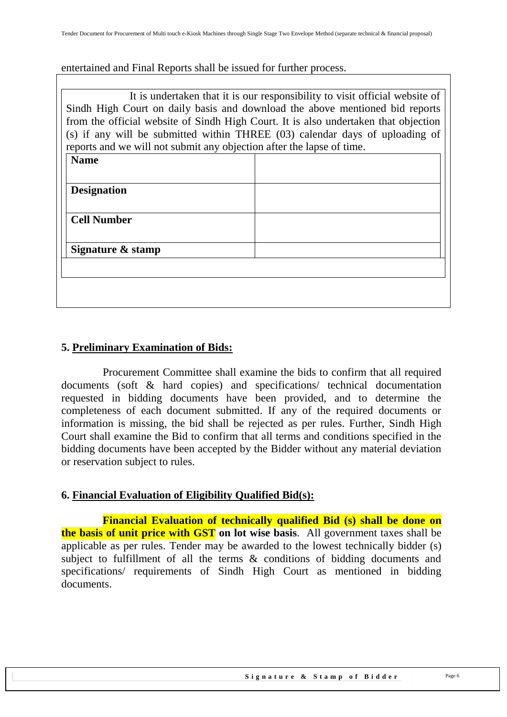entertained and Final Reports shall be issued for further process.

| It is undertaken that it is our responsibility to visit official website of<br>Sindh High Court on daily basis and download the above mentioned bid reports<br>from the official website of Sindh High Court. It is also undertaken that objection<br>(s) if any will be submitted within THREE (03) calendar days of uploading of<br>reports and we will not submit any objection after the lapse of time. |  |  |  |
|-------------------------------------------------------------------------------------------------------------------------------------------------------------------------------------------------------------------------------------------------------------------------------------------------------------------------------------------------------------------------------------------------------------|--|--|--|
| <b>Name</b>                                                                                                                                                                                                                                                                                                                                                                                                 |  |  |  |
|                                                                                                                                                                                                                                                                                                                                                                                                             |  |  |  |
| <b>Designation</b>                                                                                                                                                                                                                                                                                                                                                                                          |  |  |  |
|                                                                                                                                                                                                                                                                                                                                                                                                             |  |  |  |
| <b>Cell Number</b>                                                                                                                                                                                                                                                                                                                                                                                          |  |  |  |
|                                                                                                                                                                                                                                                                                                                                                                                                             |  |  |  |
| Signature & stamp                                                                                                                                                                                                                                                                                                                                                                                           |  |  |  |
|                                                                                                                                                                                                                                                                                                                                                                                                             |  |  |  |
|                                                                                                                                                                                                                                                                                                                                                                                                             |  |  |  |
|                                                                                                                                                                                                                                                                                                                                                                                                             |  |  |  |

### <span id="page-5-0"></span>**5. Preliminary Examination of Bids:**

 Procurement Committee shall examine the bids to confirm that all required documents (soft & hard copies) and specifications/ technical documentation requested in bidding documents have been provided, and to determine the completeness of each document submitted. If any of the required documents or information is missing, the bid shall be rejected as per rules. Further, Sindh High Court shall examine the Bid to confirm that all terms and conditions specified in the bidding documents have been accepted by the Bidder without any material deviation or reservation subject to rules.

### <span id="page-5-1"></span>**6. Financial Evaluation of Eligibility Qualified Bid(s):**

 **Financial Evaluation of technically qualified Bid (s) shall be done on the basis of unit price with GST on lot wise basis**. All government taxes shall be applicable as per rules. Tender may be awarded to the lowest technically bidder (s) subject to fulfillment of all the terms & conditions of bidding documents and specifications/ requirements of Sindh High Court as mentioned in bidding documents.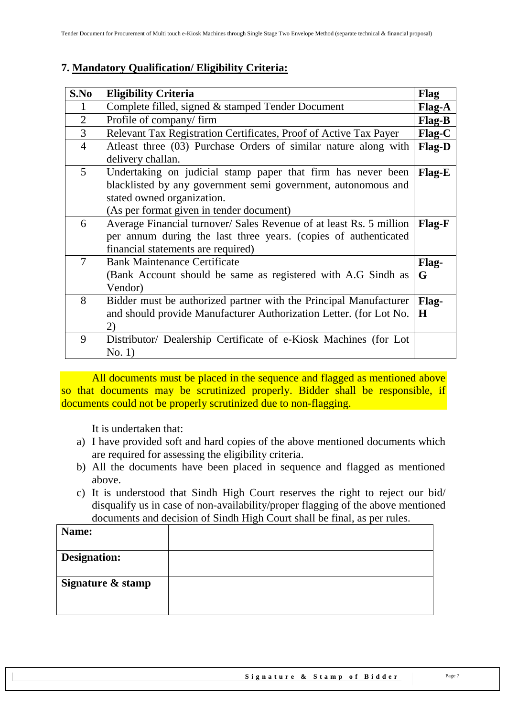# <span id="page-6-0"></span>**7. Mandatory Qualification/ Eligibility Criteria:**

| S.No           | <b>Eligibility Criteria</b>                                         | <b>Flag</b> |
|----------------|---------------------------------------------------------------------|-------------|
|                | Complete filled, signed & stamped Tender Document                   | Flag-A      |
| $\overline{2}$ | Profile of company/firm                                             | Flag-B      |
| $\overline{3}$ | Relevant Tax Registration Certificates, Proof of Active Tax Payer   | Flag-C      |
| $\overline{4}$ | Atleast three (03) Purchase Orders of similar nature along with     | Flag-D      |
|                | delivery challan.                                                   |             |
| 5              | Undertaking on judicial stamp paper that firm has never been        | Flag-E      |
|                | blacklisted by any government semi government, autonomous and       |             |
|                | stated owned organization.                                          |             |
|                | (As per format given in tender document)                            |             |
| 6              | Average Financial turnover/ Sales Revenue of at least Rs. 5 million | Flag-F      |
|                | per annum during the last three years. (copies of authenticated     |             |
|                | financial statements are required)                                  |             |
| $\tau$         | <b>Bank Maintenance Certificate</b>                                 | Flag-       |
|                | (Bank Account should be same as registered with A.G Sindh as        | G           |
|                | Vendor)                                                             |             |
| 8              | Bidder must be authorized partner with the Principal Manufacturer   | Flag-       |
|                | and should provide Manufacturer Authorization Letter. (for Lot No.  | H           |
|                | 2)                                                                  |             |
| 9              | Distributor/ Dealership Certificate of e-Kiosk Machines (for Lot    |             |
|                | No. 1)                                                              |             |

All documents must be placed in the sequence and flagged as mentioned above so that documents may be scrutinized properly. Bidder shall be responsible, if documents could not be properly scrutinized due to non-flagging.

It is undertaken that:

- a) I have provided soft and hard copies of the above mentioned documents which are required for assessing the eligibility criteria.
- b) All the documents have been placed in sequence and flagged as mentioned above.
- c) It is understood that Sindh High Court reserves the right to reject our bid/ disqualify us in case of non-availability/proper flagging of the above mentioned documents and decision of Sindh High Court shall be final, as per rules.

| Name:               |  |
|---------------------|--|
| <b>Designation:</b> |  |
| Signature & stamp   |  |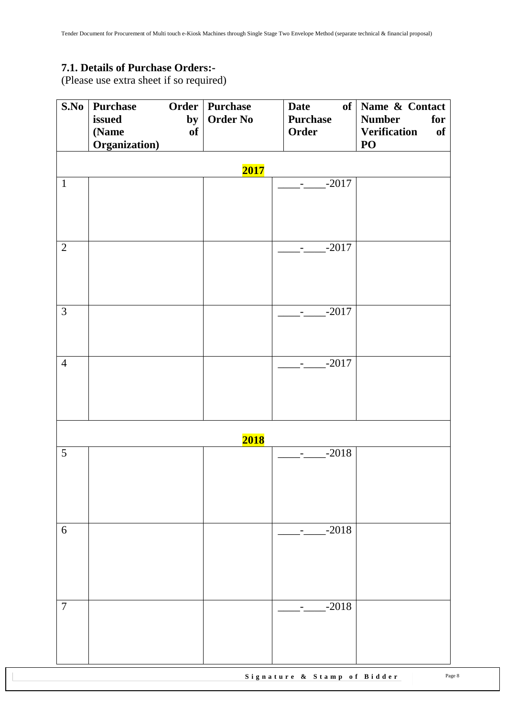### <span id="page-7-0"></span>**7.1. Details of Purchase Orders:-**

(Please use extra sheet if so required)

| S.No           | <b>Purchase</b><br>issued | by | Order   Purchase<br><b>Order No</b> | <b>Date</b><br><b>Purchase</b>             | of Name & Contact<br>for<br><b>Number</b> |
|----------------|---------------------------|----|-------------------------------------|--------------------------------------------|-------------------------------------------|
|                | (Name                     | of |                                     | Order                                      | <b>Verification</b><br>of                 |
|                | Organization)             |    |                                     |                                            | PO                                        |
|                |                           |    | 2017                                |                                            |                                           |
| $\mathbf{1}$   |                           |    |                                     | $-2017$<br>$\sim 100$                      |                                           |
|                |                           |    |                                     |                                            |                                           |
|                |                           |    |                                     |                                            |                                           |
| $\overline{2}$ |                           |    |                                     |                                            |                                           |
|                |                           |    |                                     | $---2017$                                  |                                           |
|                |                           |    |                                     |                                            |                                           |
|                |                           |    |                                     |                                            |                                           |
| $\overline{3}$ |                           |    |                                     | $-2017$<br>$\sigma_{\rm{max}}$             |                                           |
|                |                           |    |                                     |                                            |                                           |
|                |                           |    |                                     |                                            |                                           |
| $\overline{4}$ |                           |    |                                     | $-2017$<br>$\frac{1}{2}$ and $\frac{1}{2}$ |                                           |
|                |                           |    |                                     |                                            |                                           |
|                |                           |    |                                     |                                            |                                           |
|                |                           |    |                                     |                                            |                                           |
|                |                           |    | <b>2018</b>                         |                                            |                                           |
| 5              |                           |    |                                     | $-2018$                                    |                                           |
|                |                           |    |                                     |                                            |                                           |
|                |                           |    |                                     |                                            |                                           |
|                |                           |    |                                     |                                            |                                           |
| 6              |                           |    |                                     | $-2018$                                    |                                           |
|                |                           |    |                                     |                                            |                                           |
|                |                           |    |                                     |                                            |                                           |
|                |                           |    |                                     |                                            |                                           |
| $\overline{7}$ |                           |    |                                     | $-2018$                                    |                                           |
|                |                           |    |                                     |                                            |                                           |
|                |                           |    |                                     |                                            |                                           |
|                |                           |    |                                     |                                            |                                           |

Signature & Stamp of Bidder Page 8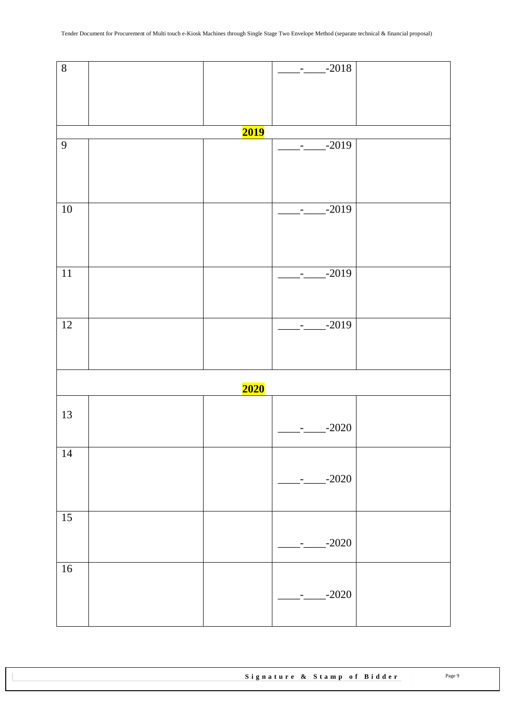| $\overline{8}$  |             | $-2018$<br>$\frac{1}{2}$ and $\frac{1}{2}$ |  |
|-----------------|-------------|--------------------------------------------|--|
|                 |             |                                            |  |
|                 |             |                                            |  |
|                 |             |                                            |  |
|                 | <b>2019</b> |                                            |  |
| $\overline{9}$  |             | $-2019$<br>$ -$                            |  |
|                 |             |                                            |  |
|                 |             |                                            |  |
|                 |             |                                            |  |
| 10              |             | $-2019$                                    |  |
|                 |             |                                            |  |
|                 |             |                                            |  |
|                 |             |                                            |  |
| $\overline{11}$ |             | $-2019$<br>$\sigma_{\rm{max}}$             |  |
|                 |             |                                            |  |
|                 |             |                                            |  |
| $\overline{12}$ |             | $-2019$                                    |  |
|                 |             | $\sim 100$                                 |  |
|                 |             |                                            |  |
|                 |             |                                            |  |
|                 | <b>2020</b> |                                            |  |
|                 |             |                                            |  |
| 13              |             | $-2020$                                    |  |
|                 |             |                                            |  |
| 14              |             |                                            |  |
|                 |             |                                            |  |
|                 |             | $-2020$                                    |  |
|                 |             |                                            |  |
| 15              |             |                                            |  |
|                 |             |                                            |  |
|                 |             | $-2020$                                    |  |
| 16              |             |                                            |  |
|                 |             |                                            |  |
|                 |             | $-2020$                                    |  |
|                 |             |                                            |  |
|                 |             |                                            |  |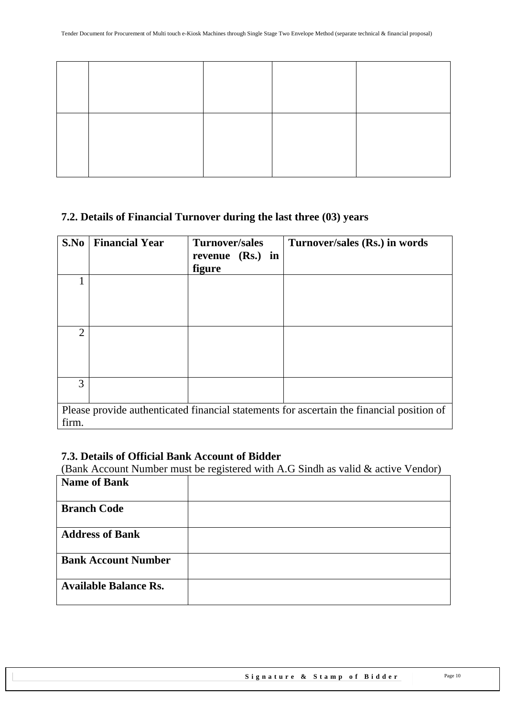### <span id="page-9-0"></span>**7.2. Details of Financial Turnover during the last three (03) years**

| S.No           | <b>Financial Year</b> | <b>Turnover/sales</b><br>revenue (Rs.) in<br>figure | Turnover/sales (Rs.) in words                                                             |
|----------------|-----------------------|-----------------------------------------------------|-------------------------------------------------------------------------------------------|
|                |                       |                                                     |                                                                                           |
| $\overline{2}$ |                       |                                                     |                                                                                           |
| 3              |                       |                                                     |                                                                                           |
| firm.          |                       |                                                     | Please provide authenticated financial statements for ascertain the financial position of |

### <span id="page-9-1"></span>**7.3. Details of Official Bank Account of Bidder**

(Bank Account Number must be registered with A.G Sindh as valid & active Vendor)

| <b>Name of Bank</b>          |  |
|------------------------------|--|
| <b>Branch Code</b>           |  |
| <b>Address of Bank</b>       |  |
| <b>Bank Account Number</b>   |  |
| <b>Available Balance Rs.</b> |  |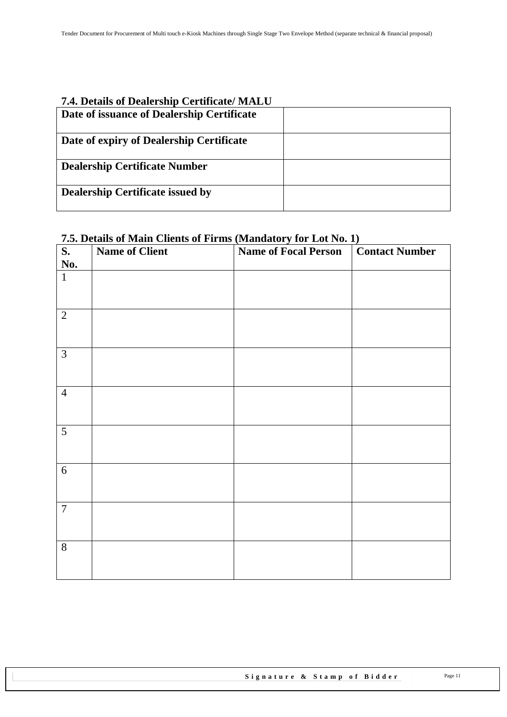# <span id="page-10-0"></span>**7.4. Details of Dealership Certificate/ MALU**

| Date of issuance of Dealership Certificate |  |
|--------------------------------------------|--|
| Date of expiry of Dealership Certificate   |  |
| <b>Dealership Certificate Number</b>       |  |
| <b>Dealership Certificate issued by</b>    |  |

### <span id="page-10-1"></span>**7.5. Details of Main Clients of Firms (Mandatory for Lot No. 1)**

| $\overline{\mathbf{S}}$ . | <b>Name of Client</b> | <b>Name of Focal Person</b> | <b>Contact Number</b> |
|---------------------------|-----------------------|-----------------------------|-----------------------|
| No.                       |                       |                             |                       |
| $\mathbf{1}$              |                       |                             |                       |
| $\overline{2}$            |                       |                             |                       |
| $\mathfrak{Z}$            |                       |                             |                       |
| $\overline{4}$            |                       |                             |                       |
| 5                         |                       |                             |                       |
| 6                         |                       |                             |                       |
| $\overline{7}$            |                       |                             |                       |
| $8\,$                     |                       |                             |                       |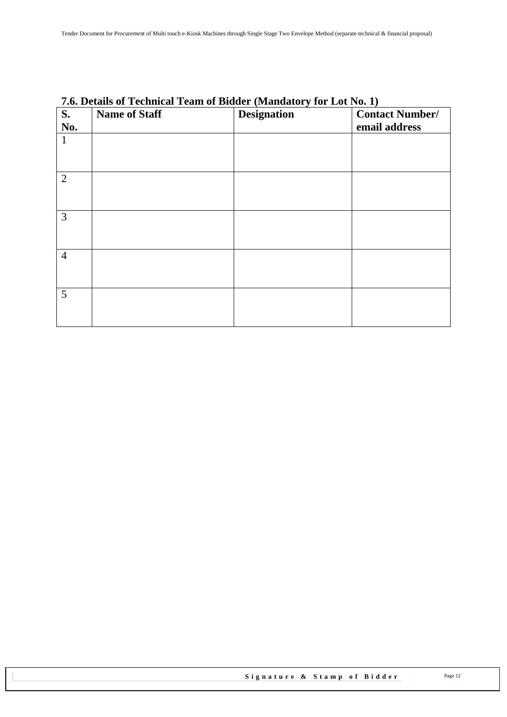| S.<br>No.       | <b>Name of Staff</b> | <b>Designation</b> | <b>Contact Number/</b><br>email address |
|-----------------|----------------------|--------------------|-----------------------------------------|
| $\mathbf{1}$    |                      |                    |                                         |
| 2               |                      |                    |                                         |
| 3               |                      |                    |                                         |
| $\overline{4}$  |                      |                    |                                         |
| $5\overline{)}$ |                      |                    |                                         |

# <span id="page-11-0"></span>**7.6. Details of Technical Team of Bidder (Mandatory for Lot No. 1)**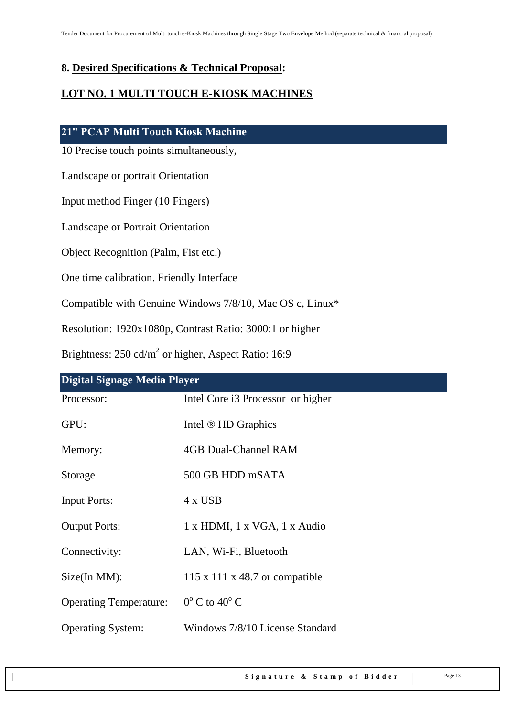### <span id="page-12-0"></span>**8. Desired Specifications & Technical Proposal:**

# **LOT NO. 1 MULTI TOUCH E-KIOSK MACHINES**

#### **21" PCAP Multi Touch Kiosk Machine**

10 Precise touch points simultaneously,

Landscape or portrait Orientation

Input method Finger (10 Fingers)

Landscape or Portrait Orientation

Object Recognition (Palm, Fist etc.)

One time calibration. Friendly Interface

Compatible with Genuine Windows 7/8/10, Mac OS c, Linux\*

Resolution: 1920x1080p, Contrast Ratio: 3000:1 or higher

Brightness:  $250 \text{ cd/m}^2$  or higher, Aspect Ratio: 16:9

| Digital Signage Media Player  |                                   |  |
|-------------------------------|-----------------------------------|--|
| Processor:                    | Intel Core i3 Processor or higher |  |
| GPU:                          | Intel ® HD Graphics               |  |
| Memory:                       | 4GB Dual-Channel RAM              |  |
| Storage                       | 500 GB HDD mSATA                  |  |
| <b>Input Ports:</b>           | 4 x USB                           |  |
| <b>Output Ports:</b>          | 1 x HDMI, 1 x VGA, 1 x Audio      |  |
| Connectivity:                 | LAN, Wi-Fi, Bluetooth             |  |
| $Size(In MM)$ :               | 115 x 111 x 48.7 or compatible    |  |
| <b>Operating Temperature:</b> | $0^{\circ}$ C to $40^{\circ}$ C   |  |
| <b>Operating System:</b>      | Windows 7/8/10 License Standard   |  |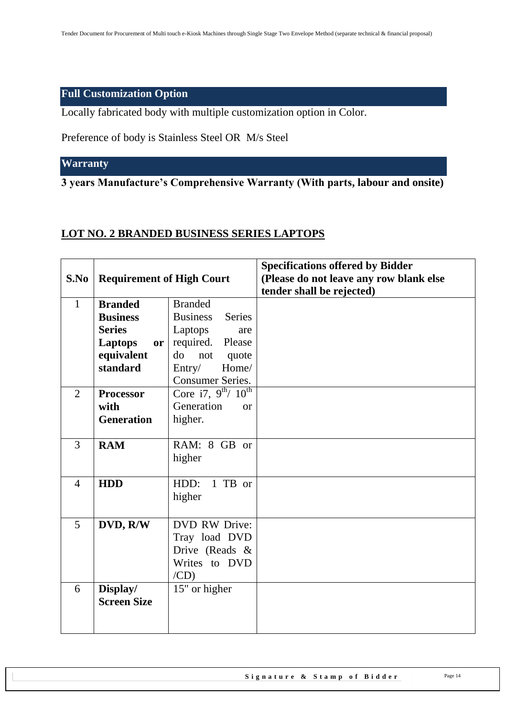### **Full Customization Option**

Locally fabricated body with multiple customization option in Color.

Preference of body is Stainless Steel OR M/s Steel

### **Warranty**

**3 years Manufacture's Comprehensive Warranty (With parts, labour and onsite)** 

### **LOT NO. 2 BRANDED BUSINESS SERIES LAPTOPS**

|                |                                  |                                  | <b>Specifications offered by Bidder</b> |
|----------------|----------------------------------|----------------------------------|-----------------------------------------|
| S.No           | <b>Requirement of High Court</b> |                                  | (Please do not leave any row blank else |
|                |                                  |                                  | tender shall be rejected)               |
| $\mathbf{1}$   | <b>Branded</b>                   | <b>Branded</b>                   |                                         |
|                | <b>Business</b>                  | <b>Business</b><br><b>Series</b> |                                         |
|                | <b>Series</b>                    | Laptops<br>are                   |                                         |
|                | <b>Laptops</b><br><b>or</b>      | required.<br>Please              |                                         |
|                | equivalent                       | do<br>not<br>quote               |                                         |
|                | standard                         | Entry/<br>Home/                  |                                         |
|                |                                  | <b>Consumer Series.</b>          |                                         |
| $\overline{2}$ | <b>Processor</b>                 | Core i7, $9^{th}$ / $10^{th}$    |                                         |
|                | with                             | Generation<br><b>or</b>          |                                         |
|                | <b>Generation</b>                | higher.                          |                                         |
|                |                                  |                                  |                                         |
| $\overline{3}$ | <b>RAM</b>                       | RAM: 8 GB or                     |                                         |
|                |                                  | higher                           |                                         |
|                |                                  |                                  |                                         |
| $\overline{4}$ | <b>HDD</b>                       | 1 TB or<br>HDD:                  |                                         |
|                |                                  | higher                           |                                         |
|                |                                  |                                  |                                         |
| 5              | DVD, R/W                         | <b>DVD RW Drive:</b>             |                                         |
|                |                                  | Tray load DVD                    |                                         |
|                |                                  | Drive (Reads &                   |                                         |
|                |                                  | Writes to DVD                    |                                         |
|                |                                  | /CD)                             |                                         |
| 6              | Display/                         | 15" or higher                    |                                         |
|                | <b>Screen Size</b>               |                                  |                                         |
|                |                                  |                                  |                                         |
|                |                                  |                                  |                                         |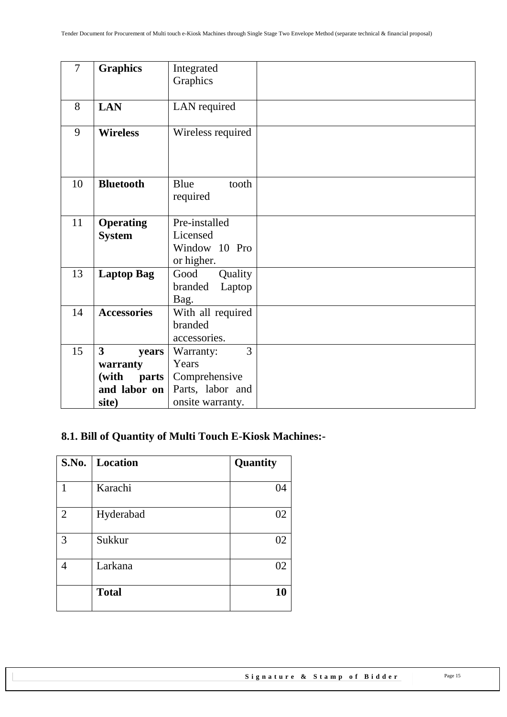| $\overline{7}$ | <b>Graphics</b>       | Integrated        |  |
|----------------|-----------------------|-------------------|--|
|                |                       | Graphics          |  |
|                |                       |                   |  |
| 8              | <b>LAN</b>            | LAN required      |  |
|                |                       |                   |  |
| 9              | <b>Wireless</b>       | Wireless required |  |
|                |                       |                   |  |
|                |                       |                   |  |
|                |                       |                   |  |
| 10             | <b>Bluetooth</b>      | Blue<br>tooth     |  |
|                |                       | required          |  |
|                |                       |                   |  |
| 11             | <b>Operating</b>      | Pre-installed     |  |
|                | <b>System</b>         | Licensed          |  |
|                |                       | Window 10 Pro     |  |
|                |                       | or higher.        |  |
| 13             | <b>Laptop Bag</b>     | Good<br>Quality   |  |
|                |                       | branded<br>Laptop |  |
|                |                       | Bag.              |  |
| 14             | <b>Accessories</b>    | With all required |  |
|                |                       | branded           |  |
|                |                       | accessories.      |  |
| 15             | 3<br>years            | 3<br>Warranty:    |  |
|                | warranty              | Years             |  |
|                | (with<br><b>parts</b> | Comprehensive     |  |
|                | and labor on          | Parts, labor and  |  |
|                | site)                 | onsite warranty.  |  |

# <span id="page-14-0"></span>**8.1. Bill of Quantity of Multi Touch E-Kiosk Machines:-**

|                | S.No.   Location | Quantity |
|----------------|------------------|----------|
|                | Karachi          | 04       |
|                |                  |          |
| $\overline{2}$ | Hyderabad        | 02       |
|                |                  |          |
| 3              | Sukkur           | 02       |
|                |                  |          |
| 4              | Larkana          | 02       |
|                |                  |          |
|                | <b>Total</b>     | 10       |
|                |                  |          |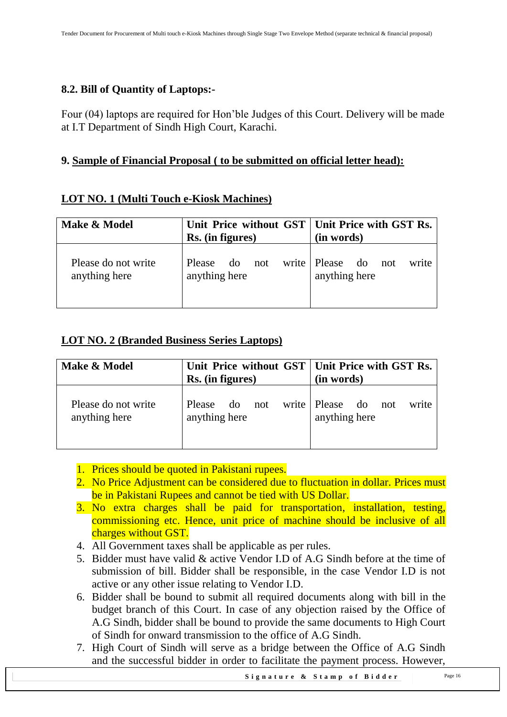### <span id="page-15-0"></span>**8.2. Bill of Quantity of Laptops:-**

Four (04) laptops are required for Hon'ble Judges of this Court. Delivery will be made at I.T Department of Sindh High Court, Karachi.

# <span id="page-15-1"></span>**9. Sample of Financial Proposal ( to be submitted on official letter head):**

### **LOT NO. 1 (Multi Touch e-Kiosk Machines)**

| Make & Model                         | Unit Price without GST   Unit Price with GST Rs.<br>Rs. (in figures) | (in words)                                       |
|--------------------------------------|----------------------------------------------------------------------|--------------------------------------------------|
| Please do not write<br>anything here | Please do not<br>anything here                                       | write Please do<br>write<br>not<br>anything here |

### **LOT NO. 2 (Branded Business Series Laptops)**

| Make & Model                         | Unit Price without GST   Unit Price with GST Rs.<br>Rs. (in figures) | (in words)                                       |
|--------------------------------------|----------------------------------------------------------------------|--------------------------------------------------|
| Please do not write<br>anything here | Please do not<br>anything here                                       | write Please do<br>write<br>not<br>anything here |

- 1. Prices should be quoted in Pakistani rupees.
- 2. No Price Adjustment can be considered due to fluctuation in dollar. Prices must be in Pakistani Rupees and cannot be tied with US Dollar.
- 3. No extra charges shall be paid for transportation, installation, testing, commissioning etc. Hence, unit price of machine should be inclusive of all charges without GST.
- 4. All Government taxes shall be applicable as per rules.
- 5. Bidder must have valid & active Vendor I.D of A.G Sindh before at the time of submission of bill. Bidder shall be responsible, in the case Vendor I.D is not active or any other issue relating to Vendor I.D.
- 6. Bidder shall be bound to submit all required documents along with bill in the budget branch of this Court. In case of any objection raised by the Office of A.G Sindh, bidder shall be bound to provide the same documents to High Court of Sindh for onward transmission to the office of A.G Sindh.
- 7. High Court of Sindh will serve as a bridge between the Office of A.G Sindh and the successful bidder in order to facilitate the payment process. However,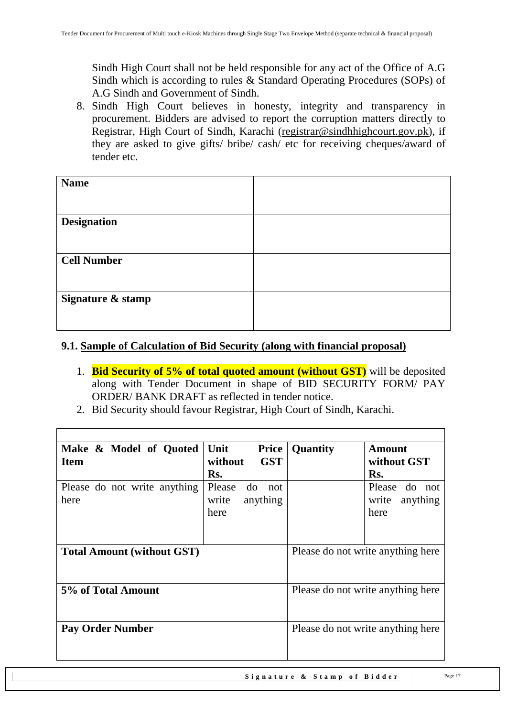Sindh High Court shall not be held responsible for any act of the Office of A.G Sindh which is according to rules & Standard Operating Procedures (SOPs) of A.G Sindh and Government of Sindh.

8. Sindh High Court believes in honesty, integrity and transparency in procurement. Bidders are advised to report the corruption matters directly to Registrar, High Court of Sindh, Karachi [\(registrar@sindhhighcourt.gov.pk\)](mailto:registrar@sindhhighcourt.gov.pk), if they are asked to give gifts/ bribe/ cash/ etc for receiving cheques/award of tender etc.

### <span id="page-16-0"></span>**9.1. Sample of Calculation of Bid Security (along with financial proposal)**

- 1. **Bid Security of 5% of total quoted amount (without GST)** will be deposited along with Tender Document in shape of BID SECURITY FORM/ PAY ORDER/ BANK DRAFT as reflected in tender notice.
- 2. Bid Security should favour Registrar, High Court of Sindh, Karachi.

| Make & Model of Quoted<br><b>Item</b> | Unit<br><b>Price</b><br><b>GST</b><br>without<br>Rs. | Quantity                          | Amount<br>without GST<br>Rs.                  |
|---------------------------------------|------------------------------------------------------|-----------------------------------|-----------------------------------------------|
| Please do not write anything<br>here  | Please<br>do<br>not<br>write<br>anything<br>here     |                                   | Please do<br>not<br>write<br>anything<br>here |
| <b>Total Amount (without GST)</b>     |                                                      |                                   | Please do not write anything here             |
| 5% of Total Amount                    |                                                      | Please do not write anything here |                                               |
| <b>Pay Order Number</b>               |                                                      |                                   | Please do not write anything here             |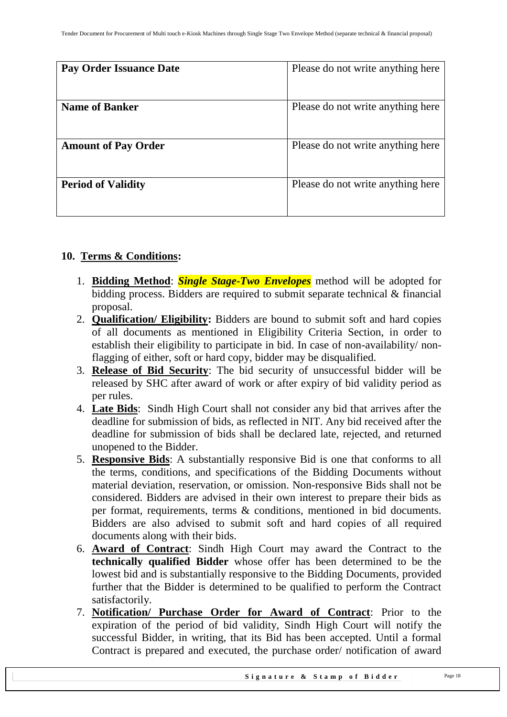| Pay Order Issuance Date    | Please do not write anything here |
|----------------------------|-----------------------------------|
| <b>Name of Banker</b>      | Please do not write anything here |
| <b>Amount of Pay Order</b> | Please do not write anything here |
| <b>Period of Validity</b>  | Please do not write anything here |

### <span id="page-17-0"></span>**10. Terms & Conditions:**

- 1. **Bidding Method**: *Single Stage-Two Envelopes* method will be adopted for bidding process. Bidders are required to submit separate technical & financial proposal.
- 2. **Qualification/ Eligibility:** Bidders are bound to submit soft and hard copies of all documents as mentioned in Eligibility Criteria Section, in order to establish their eligibility to participate in bid. In case of non-availability/ nonflagging of either, soft or hard copy, bidder may be disqualified.
- 3. **Release of Bid Security**: The bid security of unsuccessful bidder will be released by SHC after award of work or after expiry of bid validity period as per rules.
- 4. **Late Bids**: Sindh High Court shall not consider any bid that arrives after the deadline for submission of bids, as reflected in NIT. Any bid received after the deadline for submission of bids shall be declared late, rejected, and returned unopened to the Bidder.
- 5. **Responsive Bids**: A substantially responsive Bid is one that conforms to all the terms, conditions, and specifications of the Bidding Documents without material deviation, reservation, or omission. Non-responsive Bids shall not be considered. Bidders are advised in their own interest to prepare their bids as per format, requirements, terms & conditions, mentioned in bid documents. Bidders are also advised to submit soft and hard copies of all required documents along with their bids.
- 6. **Award of Contract**: Sindh High Court may award the Contract to the **technically qualified Bidder** whose offer has been determined to be the lowest bid and is substantially responsive to the Bidding Documents, provided further that the Bidder is determined to be qualified to perform the Contract satisfactorily.
- 7. **Notification/ Purchase Order for Award of Contract**: Prior to the expiration of the period of bid validity, Sindh High Court will notify the successful Bidder, in writing, that its Bid has been accepted. Until a formal Contract is prepared and executed, the purchase order/ notification of award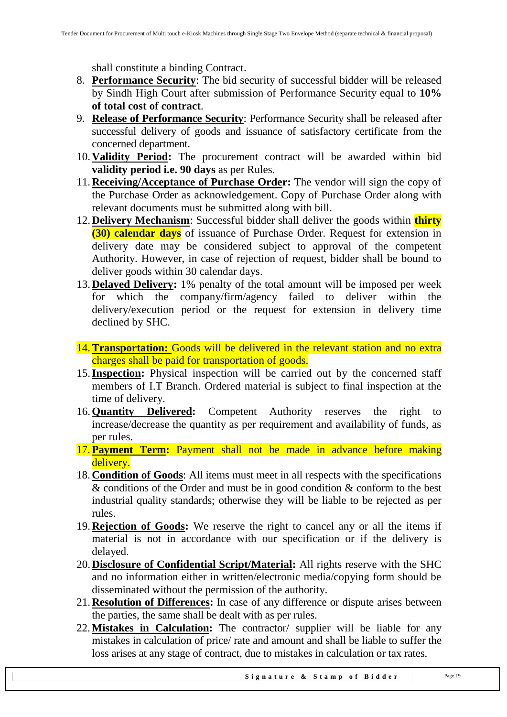shall constitute a binding Contract.

- 8. **Performance Security**: The bid security of successful bidder will be released by Sindh High Court after submission of Performance Security equal to **10% of total cost of contract**.
- 9. **Release of Performance Security**: Performance Security shall be released after successful delivery of goods and issuance of satisfactory certificate from the concerned department.
- 10.**Validity Period:** The procurement contract will be awarded within bid **validity period i.e. 90 days** as per Rules.
- 11.**Receiving/Acceptance of Purchase Order:** The vendor will sign the copy of the Purchase Order as acknowledgement. Copy of Purchase Order along with relevant documents must be submitted along with bill.
- 12.**Delivery Mechanism**: Successful bidder shall deliver the goods within **thirty (30) calendar days** of issuance of Purchase Order. Request for extension in delivery date may be considered subject to approval of the competent Authority. However, in case of rejection of request, bidder shall be bound to deliver goods within 30 calendar days.
- 13.**Delayed Delivery:** 1% penalty of the total amount will be imposed per week for which the company/firm/agency failed to deliver within the delivery/execution period or the request for extension in delivery time declined by SHC.
- 14.**Transportation:** Goods will be delivered in the relevant station and no extra charges shall be paid for transportation of goods.
- 15.**Inspection:** Physical inspection will be carried out by the concerned staff members of I.T Branch. Ordered material is subject to final inspection at the time of delivery.
- 16.**Quantity Delivered:** Competent Authority reserves the right to increase/decrease the quantity as per requirement and availability of funds, as per rules.
- 17. **Payment Term:** Payment shall not be made in advance before making delivery.
- 18. **Condition of Goods**: All items must meet in all respects with the specifications & conditions of the Order and must be in good condition & conform to the best industrial quality standards; otherwise they will be liable to be rejected as per rules.
- 19.**Rejection of Goods:** We reserve the right to cancel any or all the items if material is not in accordance with our specification or if the delivery is delayed.
- 20.**Disclosure of Confidential Script/Material:** All rights reserve with the SHC and no information either in written/electronic media/copying form should be disseminated without the permission of the authority.
- 21.**Resolution of Differences:** In case of any difference or dispute arises between the parties, the same shall be dealt with as per rules.
- 22.**Mistakes in Calculation:** The contractor/ supplier will be liable for any mistakes in calculation of price/ rate and amount and shall be liable to suffer the loss arises at any stage of contract, due to mistakes in calculation or tax rates.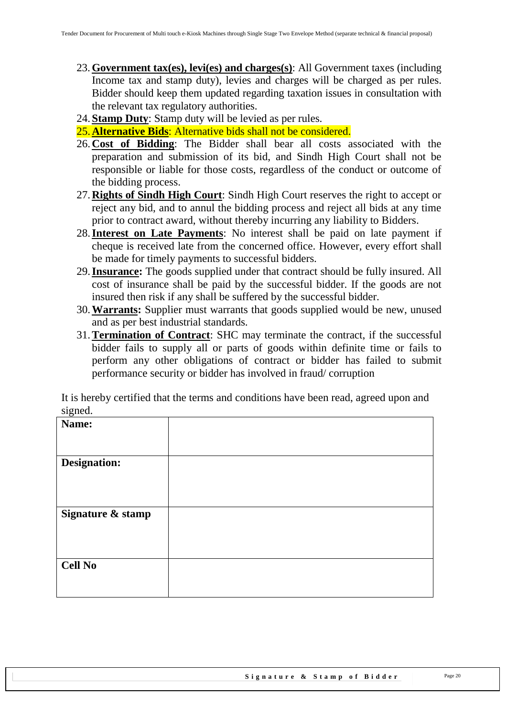- 23. **Government tax(es), levi(es) and charges(s)**: All Government taxes (including Income tax and stamp duty), levies and charges will be charged as per rules. Bidder should keep them updated regarding taxation issues in consultation with the relevant tax regulatory authorities.
- 24.**Stamp Duty**: Stamp duty will be levied as per rules.
- 25.**Alternative Bids**: Alternative bids shall not be considered.
- 26.**Cost of Bidding**: The Bidder shall bear all costs associated with the preparation and submission of its bid, and Sindh High Court shall not be responsible or liable for those costs, regardless of the conduct or outcome of the bidding process.
- 27.**Rights of Sindh High Court**: Sindh High Court reserves the right to accept or reject any bid, and to annul the bidding process and reject all bids at any time prior to contract award, without thereby incurring any liability to Bidders.
- 28.**Interest on Late Payments**: No interest shall be paid on late payment if cheque is received late from the concerned office. However, every effort shall be made for timely payments to successful bidders.
- 29.**Insurance:** The goods supplied under that contract should be fully insured. All cost of insurance shall be paid by the successful bidder. If the goods are not insured then risk if any shall be suffered by the successful bidder.
- 30.**Warrants:** Supplier must warrants that goods supplied would be new, unused and as per best industrial standards.
- 31.**Termination of Contract**: SHC may terminate the contract, if the successful bidder fails to supply all or parts of goods within definite time or fails to perform any other obligations of contract or bidder has failed to submit performance security or bidder has involved in fraud/ corruption

It is hereby certified that the terms and conditions have been read, agreed upon and signed.

| $-5-1$              |  |
|---------------------|--|
| Name:               |  |
|                     |  |
|                     |  |
| <b>Designation:</b> |  |
|                     |  |
|                     |  |
|                     |  |
|                     |  |
|                     |  |
| Signature & stamp   |  |
|                     |  |
|                     |  |
|                     |  |
|                     |  |
|                     |  |
| <b>Cell No</b>      |  |
|                     |  |
|                     |  |
|                     |  |
|                     |  |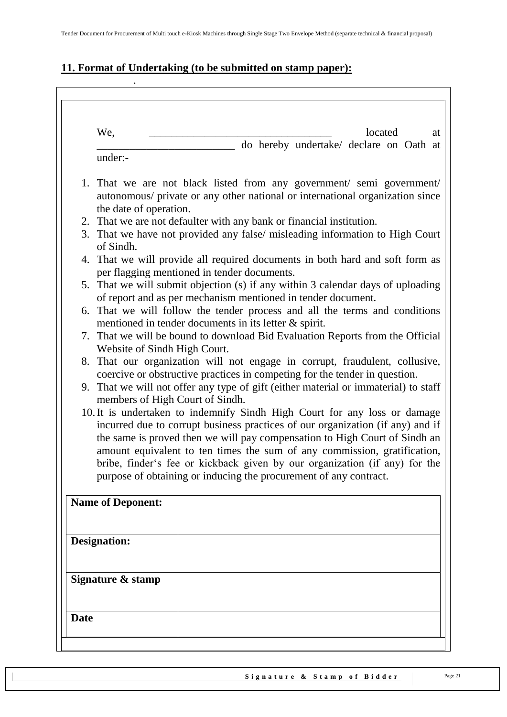# <span id="page-20-0"></span>**11. Format of Undertaking (to be submitted on stamp paper):**

.

| We,                                                                                                    | located<br>at                                                                                                                                                                                                                                                                                                                                                                                                                                                                                                                                                                                                                                                                                                                                                                                                                                                                                                                                                                                                                                                                |
|--------------------------------------------------------------------------------------------------------|------------------------------------------------------------------------------------------------------------------------------------------------------------------------------------------------------------------------------------------------------------------------------------------------------------------------------------------------------------------------------------------------------------------------------------------------------------------------------------------------------------------------------------------------------------------------------------------------------------------------------------------------------------------------------------------------------------------------------------------------------------------------------------------------------------------------------------------------------------------------------------------------------------------------------------------------------------------------------------------------------------------------------------------------------------------------------|
|                                                                                                        | do hereby undertake/ declare on Oath at                                                                                                                                                                                                                                                                                                                                                                                                                                                                                                                                                                                                                                                                                                                                                                                                                                                                                                                                                                                                                                      |
| under:-                                                                                                |                                                                                                                                                                                                                                                                                                                                                                                                                                                                                                                                                                                                                                                                                                                                                                                                                                                                                                                                                                                                                                                                              |
| the date of operation.<br>of Sindh.<br>Website of Sindh High Court.<br>members of High Court of Sindh. | 1. That we are not black listed from any government/ semi government/<br>autonomous/ private or any other national or international organization since<br>2. That we are not defaulter with any bank or financial institution.<br>3. That we have not provided any false/ misleading information to High Court<br>4. That we will provide all required documents in both hard and soft form as<br>per flagging mentioned in tender documents.<br>5. That we will submit objection (s) if any within 3 calendar days of uploading<br>of report and as per mechanism mentioned in tender document.<br>6. That we will follow the tender process and all the terms and conditions<br>mentioned in tender documents in its letter & spirit.<br>7. That we will be bound to download Bid Evaluation Reports from the Official<br>8. That our organization will not engage in corrupt, fraudulent, collusive,<br>coercive or obstructive practices in competing for the tender in question.<br>9. That we will not offer any type of gift (either material or immaterial) to staff |
|                                                                                                        | 10. It is undertaken to indemnify Sindh High Court for any loss or damage<br>incurred due to corrupt business practices of our organization (if any) and if<br>the same is proved then we will pay compensation to High Court of Sindh an<br>amount equivalent to ten times the sum of any commission, gratification,<br>bribe, finder's fee or kickback given by our organization (if any) for the<br>purpose of obtaining or inducing the procurement of any contract.                                                                                                                                                                                                                                                                                                                                                                                                                                                                                                                                                                                                     |
| <b>Name of Deponent:</b>                                                                               |                                                                                                                                                                                                                                                                                                                                                                                                                                                                                                                                                                                                                                                                                                                                                                                                                                                                                                                                                                                                                                                                              |
| <b>Designation:</b>                                                                                    |                                                                                                                                                                                                                                                                                                                                                                                                                                                                                                                                                                                                                                                                                                                                                                                                                                                                                                                                                                                                                                                                              |
| Signature & stamp                                                                                      |                                                                                                                                                                                                                                                                                                                                                                                                                                                                                                                                                                                                                                                                                                                                                                                                                                                                                                                                                                                                                                                                              |
|                                                                                                        |                                                                                                                                                                                                                                                                                                                                                                                                                                                                                                                                                                                                                                                                                                                                                                                                                                                                                                                                                                                                                                                                              |
|                                                                                                        |                                                                                                                                                                                                                                                                                                                                                                                                                                                                                                                                                                                                                                                                                                                                                                                                                                                                                                                                                                                                                                                                              |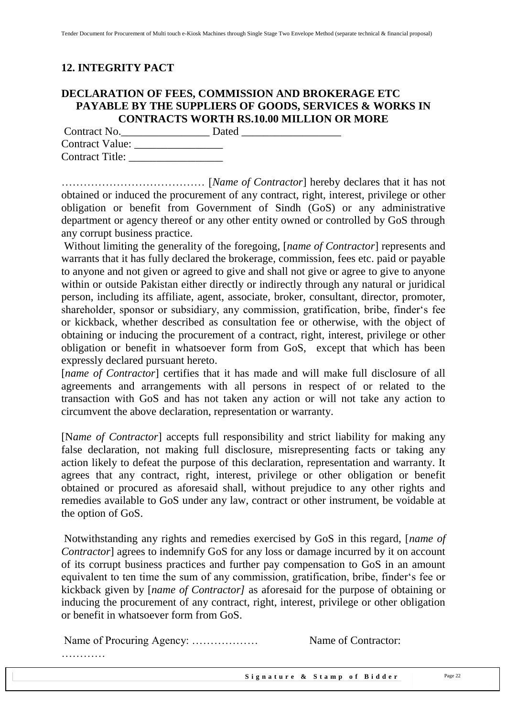### <span id="page-21-0"></span>**12. INTEGRITY PACT**

### **DECLARATION OF FEES, COMMISSION AND BROKERAGE ETC PAYABLE BY THE SUPPLIERS OF GOODS, SERVICES & WORKS IN CONTRACTS WORTH RS.10.00 MILLION OR MORE**

| Contract No.           | Dated |
|------------------------|-------|
| <b>Contract Value:</b> |       |
| <b>Contract Title:</b> |       |

………………………………… [*Name of Contractor*] hereby declares that it has not obtained or induced the procurement of any contract, right, interest, privilege or other obligation or benefit from Government of Sindh (GoS) or any administrative department or agency thereof or any other entity owned or controlled by GoS through any corrupt business practice.

Without limiting the generality of the foregoing, [*name of Contractor*] represents and warrants that it has fully declared the brokerage, commission, fees etc. paid or payable to anyone and not given or agreed to give and shall not give or agree to give to anyone within or outside Pakistan either directly or indirectly through any natural or juridical person, including its affiliate, agent, associate, broker, consultant, director, promoter, shareholder, sponsor or subsidiary, any commission, gratification, bribe, finder's fee or kickback, whether described as consultation fee or otherwise, with the object of obtaining or inducing the procurement of a contract, right, interest, privilege or other obligation or benefit in whatsoever form from GoS, except that which has been expressly declared pursuant hereto.

[*name of Contractor*] certifies that it has made and will make full disclosure of all agreements and arrangements with all persons in respect of or related to the transaction with GoS and has not taken any action or will not take any action to circumvent the above declaration, representation or warranty.

[N*ame of Contractor*] accepts full responsibility and strict liability for making any false declaration, not making full disclosure, misrepresenting facts or taking any action likely to defeat the purpose of this declaration, representation and warranty. It agrees that any contract, right, interest, privilege or other obligation or benefit obtained or procured as aforesaid shall, without prejudice to any other rights and remedies available to GoS under any law, contract or other instrument, be voidable at the option of GoS.

Notwithstanding any rights and remedies exercised by GoS in this regard, [*name of Contractor*] agrees to indemnify GoS for any loss or damage incurred by it on account of its corrupt business practices and further pay compensation to GoS in an amount equivalent to ten time the sum of any commission, gratification, bribe, finder's fee or kickback given by [*name of Contractor]* as aforesaid for the purpose of obtaining or inducing the procurement of any contract, right, interest, privilege or other obligation or benefit in whatsoever form from GoS.

Name of Procuring Agency: ……………… Name of Contractor:

…………